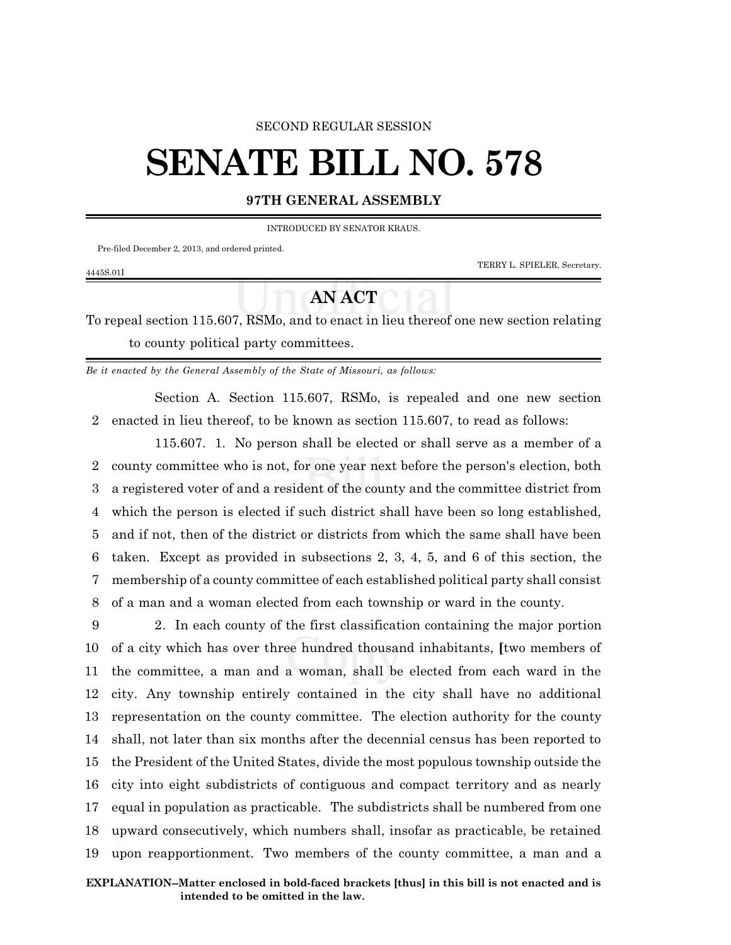#### SECOND REGULAR SESSION

# **SENATE BILL NO. 578**

### **97TH GENERAL ASSEMBLY**

INTRODUCED BY SENATOR KRAUS.

Pre-filed December 2, 2013, and ordered printed.

TERRY L. SPIELER, Secretary.

#### 4445S.01I

## **AN ACT**

To repeal section 115.607, RSMo, and to enact in lieu thereof one new section relating to county political party committees.

*Be it enacted by the General Assembly of the State of Missouri, as follows:*

Section A. Section 115.607, RSMo, is repealed and one new section 2 enacted in lieu thereof, to be known as section 115.607, to read as follows:

115.607. 1. No person shall be elected or shall serve as a member of a county committee who is not, for one year next before the person's election, both a registered voter of and a resident of the county and the committee district from which the person is elected if such district shall have been so long established, and if not, then of the district or districts from which the same shall have been taken. Except as provided in subsections 2, 3, 4, 5, and 6 of this section, the membership of a county committee of each established political party shall consist of a man and a woman elected from each township or ward in the county.

 2. In each county of the first classification containing the major portion of a city which has over three hundred thousand inhabitants, **[**two members of the committee, a man and a woman, shall be elected from each ward in the city. Any township entirely contained in the city shall have no additional representation on the county committee. The election authority for the county shall, not later than six months after the decennial census has been reported to the President of the United States, divide the most populous township outside the city into eight subdistricts of contiguous and compact territory and as nearly equal in population as practicable. The subdistricts shall be numbered from one upward consecutively, which numbers shall, insofar as practicable, be retained upon reapportionment. Two members of the county committee, a man and a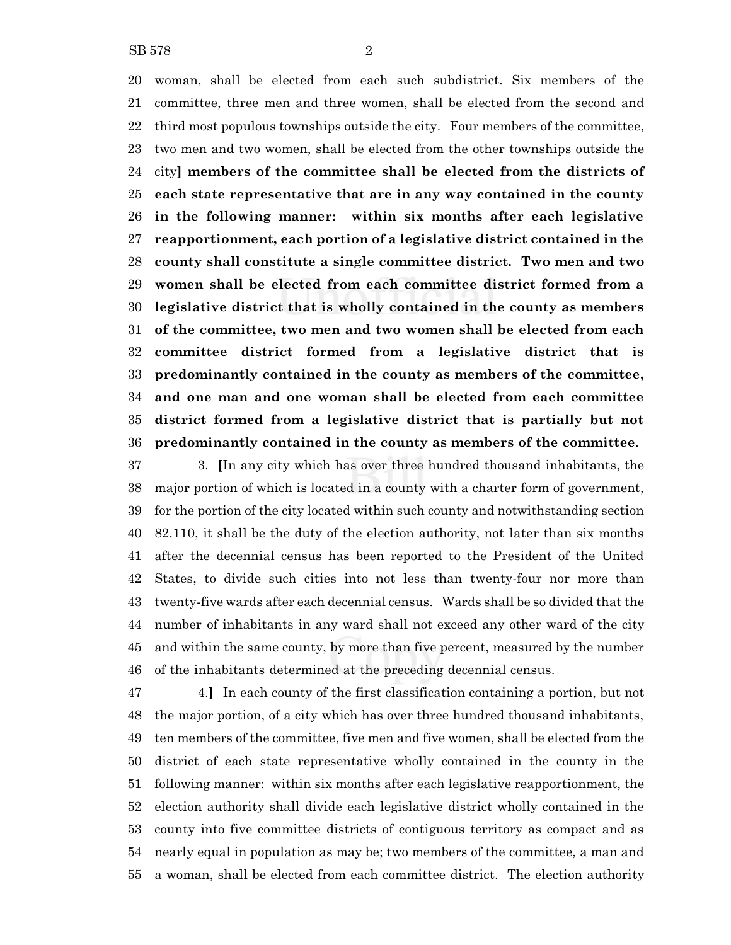woman, shall be elected from each such subdistrict. Six members of the committee, three men and three women, shall be elected from the second and third most populous townships outside the city. Four members of the committee, two men and two women, shall be elected from the other townships outside the city**] members of the committee shall be elected from the districts of each state representative that are in any way contained in the county in the following manner: within six months after each legislative reapportionment, each portion of a legislative district contained in the county shall constitute a single committee district. Two men and two women shall be elected from each committee district formed from a legislative district that is wholly contained in the county as members of the committee, two men and two women shall be elected from each committee district formed from a legislative district that is predominantly contained in the county as members of the committee, and one man and one woman shall be elected from each committee district formed from a legislative district that is partially but not predominantly contained in the county as members of the committee**.

 3. **[**In any city which has over three hundred thousand inhabitants, the major portion of which is located in a county with a charter form of government, for the portion of the city located within such county and notwithstanding section 82.110, it shall be the duty of the election authority, not later than six months after the decennial census has been reported to the President of the United States, to divide such cities into not less than twenty-four nor more than twenty-five wards after each decennial census. Wards shall be so divided that the number of inhabitants in any ward shall not exceed any other ward of the city and within the same county, by more than five percent, measured by the number of the inhabitants determined at the preceding decennial census.

 4.**]** In each county of the first classification containing a portion, but not the major portion, of a city which has over three hundred thousand inhabitants, ten members of the committee, five men and five women, shall be elected from the district of each state representative wholly contained in the county in the following manner: within six months after each legislative reapportionment, the election authority shall divide each legislative district wholly contained in the county into five committee districts of contiguous territory as compact and as nearly equal in population as may be; two members of the committee, a man and a woman, shall be elected from each committee district. The election authority